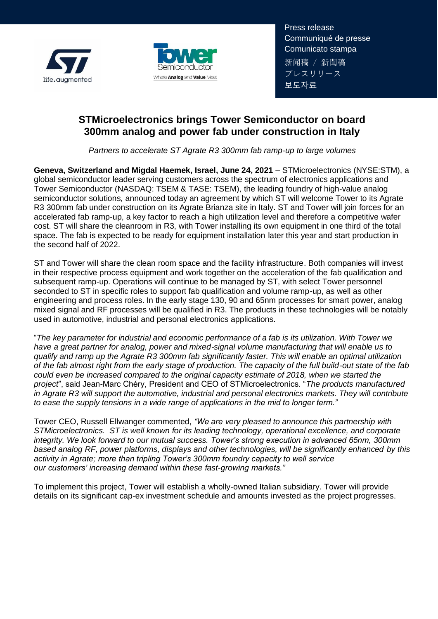



Press release Communiqué de presse Comunicato stampa 新闻稿 / 新聞稿 プレスリリース 보도자료

# **STMicroelectronics brings Tower Semiconductor on board 300mm analog and power fab under construction in Italy**

*Partners to accelerate ST Agrate R3 300mm fab ramp-up to large volumes*

**Geneva, Switzerland and Migdal Haemek, Israel, June 24, 2021** – STMicroelectronics (NYSE:STM), a global semiconductor leader serving customers across the spectrum of electronics applications and Tower Semiconductor (NASDAQ: TSEM & TASE: TSEM), the leading foundry of high-value analog semiconductor solutions, announced today an agreement by which ST will welcome Tower to its Agrate R3 300mm fab under construction on its Agrate Brianza site in Italy. ST and Tower will join forces for an accelerated fab ramp-up, a key factor to reach a high utilization level and therefore a competitive wafer cost. ST will share the cleanroom in R3, with Tower installing its own equipment in one third of the total space. The fab is expected to be ready for equipment installation later this year and start production in the second half of 2022.

ST and Tower will share the clean room space and the facility infrastructure. Both companies will invest in their respective process equipment and work together on the acceleration of the fab qualification and subsequent ramp-up. Operations will continue to be managed by ST, with select Tower personnel seconded to ST in specific roles to support fab qualification and volume ramp-up, as well as other engineering and process roles. In the early stage 130, 90 and 65nm processes for smart power, analog mixed signal and RF processes will be qualified in R3. The products in these technologies will be notably used in automotive, industrial and personal electronics applications.

"*The key parameter for industrial and economic performance of a fab is its utilization. With Tower we have a great partner for analog, power and mixed-signal volume manufacturing that will enable us to qualify and ramp up the Agrate R3 300mm fab significantly faster. This will enable an optimal utilization of the fab almost right from the early stage of production. The capacity of the full build-out state of the fab could even be increased compared to the original capacity estimate of 2018, when we started the project*", said Jean-Marc Chéry, President and CEO of STMicroelectronics. "*The products manufactured in Agrate R3 will support the automotive, industrial and personal electronics markets. They will contribute to ease the supply tensions in a wide range of applications in the mid to longer term."*

Tower CEO, Russell Ellwanger commented, *"We are very pleased to announce this partnership with STMicroelectronics. ST is well known for its leading technology, operational excellence, and corporate integrity. We look forward to our mutual success. Tower's strong execution in advanced 65nm, 300mm based analog RF, power platforms, displays and other technologies, will be significantly enhanced by this activity in Agrate; more than tripling Tower's 300mm foundry capacity to well service our customers' increasing demand within these fast-growing markets."*

To implement this project, Tower will establish a wholly-owned Italian subsidiary. Tower will provide details on its significant cap-ex investment schedule and amounts invested as the project progresses.